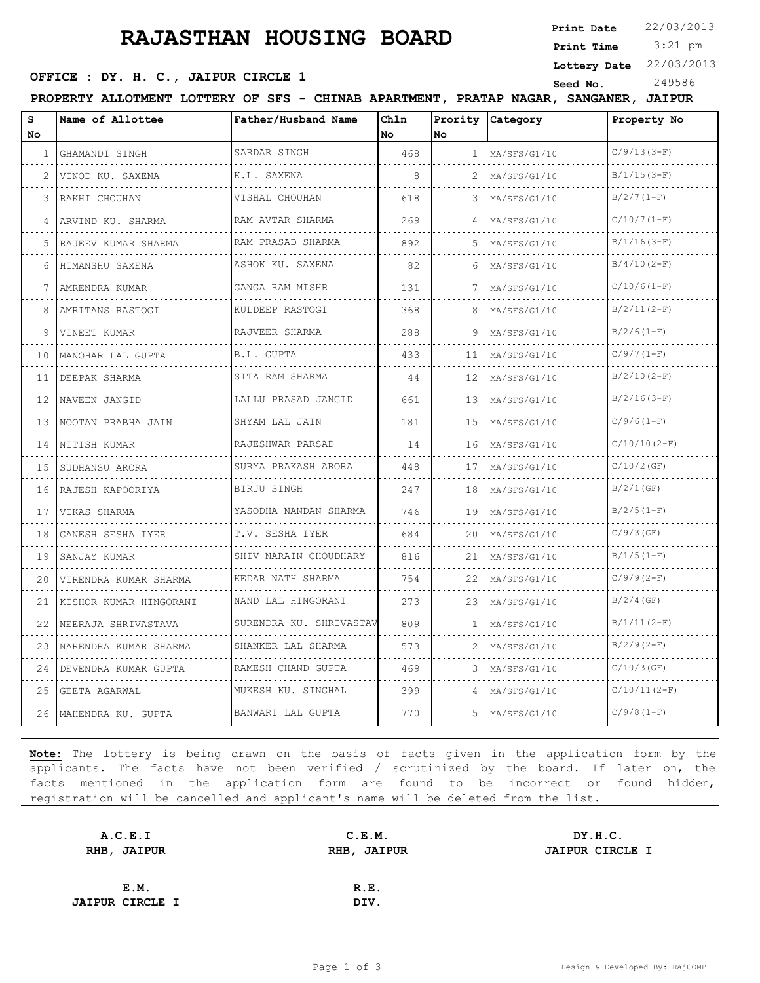## **RAJASTHAN HOUSING BOARD**

**Print Date**  $22/03/2013$ 

 3:21 pm **Print Time**

**SEED OFFICE : DY. H. C., JAIPUR CIRCLE 1** Seed No. 249586

**Lottery Date** 22/03/2013

| PRATAP NAGAR.<br>SFS - CHINAB APARTMENT.<br>PROPERTY ALLOTMENT<br><b>LOTTERY OF</b><br><b>JAIPUR</b><br><b>SANGANER</b> |
|-------------------------------------------------------------------------------------------------------------------------|
|-------------------------------------------------------------------------------------------------------------------------|

| s<br><b>No</b> | Name of Allottee       | Father/Husband Name         | Chln<br>No. | No.          | Prority Category  | Property No    |
|----------------|------------------------|-----------------------------|-------------|--------------|-------------------|----------------|
| 1              | GHAMANDI SINGH         | SARDAR SINGH                | 468         | $\mathbf{1}$ | MA/SFS/G1/10      | $C/9/13(3-F)$  |
| 2              | VINOD KU. SAXENA       | K.L. SAXENA                 | 8           |              | .<br>MA/SFS/G1/10 | $B/1/15(3-F)$  |
| 3              | RAKHI CHOUHAN          | VISHAL CHOUHAN              | 618         | 3            | MA/SFS/G1/10      | $B/2/7(1-F)$   |
| 4              | ARVIND KU. SHARMA      | RAM AVTAR SHARMA            | 269         |              | MA/SFS/G1/10      | $C/10/7(1-F)$  |
| 5              | RAJEEV KUMAR SHARMA    | .<br>RAM PRASAD SHARMA      | 892         | 5.           | MA/SFS/G1/10      | $B/1/16(3-F)$  |
| 6              | HIMANSHU SAXENA        | .<br>ASHOK KU. SAXENA       | 82          | 6            | MA/SFS/G1/10      | $B/4/10(2-F)$  |
| 7              | AMRENDRA KUMAR         | GANGA RAM MISHR             | 131         | 7            | MA/SFS/G1/10      | $C/10/6(1-F)$  |
| 8              | .<br>AMRITANS RASTOGI  | <u>.</u><br>KULDEEP RASTOGI | 368         | 8            | MA/SFS/G1/10      | $B/2/11(2-F)$  |
| 9              | VINEET KUMAR           | RAJVEER SHARMA              | 288         | 9            | MA/SFS/G1/10      | $B/2/6(1-F)$   |
| 10             | MANOHAR LAL GUPTA      | B.L. GUPTA                  | 433         | 11           | MA/SFS/G1/10      | $C/9/7(1-F)$   |
| 11             | DEEPAK SHARMA          | SITA RAM SHARMA<br>.        | 44          | 12           | MA/SFS/G1/10      | $B/2/10(2-F)$  |
| 12.            | NAVEEN JANGID          | LALLU PRASAD JANGID         | 661         | 13           | MA/SFS/G1/10      | $B/2/16(3-F)$  |
| 13             | NOOTAN PRABHA JAIN     | SHYAM LAL JAIN<br>.         | 181         | 1.5          | MA/SFS/G1/10      | $C/9/6 (1-F)$  |
| 14             | NITISH KUMAR           | RAJESHWAR PARSAD            | 14          | 16           | $M_A/SFS/G1/10$   | $C/10/10(2-F)$ |
| 15             | SUDHANSU ARORA         | SURYA PRAKASH ARORA         | 448         | 17           | MA/SFS/G1/10      | $C/10/2$ (GF)  |
| 16             | RAJESH KAPOORIYA       | BIRJU SINGH                 | 247         | 18           | MA/SFS/G1/10      | $B/2/1$ (GF)   |
| 17             | VIKAS SHARMA           | YASODHA NANDAN SHARMA<br>.  | 746         | 19           | MA/SFS/G1/10      | $B/2/5(1-F)$   |
| 18             | GANESH SESHA IYER      | T.V. SESHA IYER             | 684         | 20           | MA/SFS/G1/10      | $C/9/3$ (GF)   |
| 19             | SANJAY KUMAR           | SHIV NARAIN CHOUDHARY       | 816         | 21           | MA/SFS/G1/10      | $B/1/5(1-F)$   |
| 20             | VIRENDRA KUMAR SHARMA  | KEDAR NATH SHARMA<br>.      | 754         | 22           | MA/SFS/G1/10      | $C/9/9(2-F)$   |
| 21             | KISHOR KUMAR HINGORANI | NAND LAL HINGORANI          | 273         | 23           | MA/SFS/G1/10      | $B/2/4$ (GF)   |
| 22             | NEERAJA SHRIVASTAVA    | SURENDRA KU. SHRIVASTAV     | 809         | 1            | MA/SFS/G1/10      | $B/1/11(2-F)$  |
| 23             | NARENDRA KUMAR SHARMA  | SHANKER LAL SHARMA<br>.     | 573         |              | MA/SFS/G1/10      | $B/2/9(2-F)$   |
| 24             | DEVENDRA KUMAR GUPTA   | RAMESH CHAND GUPTA          | 469         | 3            | MA/SFS/G1/10      | $C/10/3$ (GF)  |
| 25             | GEETA AGARWAL          | MUKESH KU. SINGHAL          | 399         |              | MA/SFS/G1/10      | $C/10/11(2-F)$ |
| 26             | MAHENDRA KU. GUPTA     | BANWARI LAL GUPTA           | 770         | 5            | MA/SFS/G1/10      | $C/9/8 (1-F)$  |

**Note:** The lottery is being drawn on the basis of facts given in the application form by the applicants. The facts have not been verified / scrutinized by the board. If later on, the facts mentioned in the application form are found to be incorrect or found hidden, registration will be cancelled and applicant's name will be deleted from the list.

| A.C.E.I                | C.E.M.      | DY.H.C.                |
|------------------------|-------------|------------------------|
| RHB, JAIPUR            | RHB, JAIPUR | <b>JAIPUR CIRCLE I</b> |
|                        |             |                        |
| E.M.                   | R.E.        |                        |
| <b>JAIPUR CIRCLE I</b> | DIV.        |                        |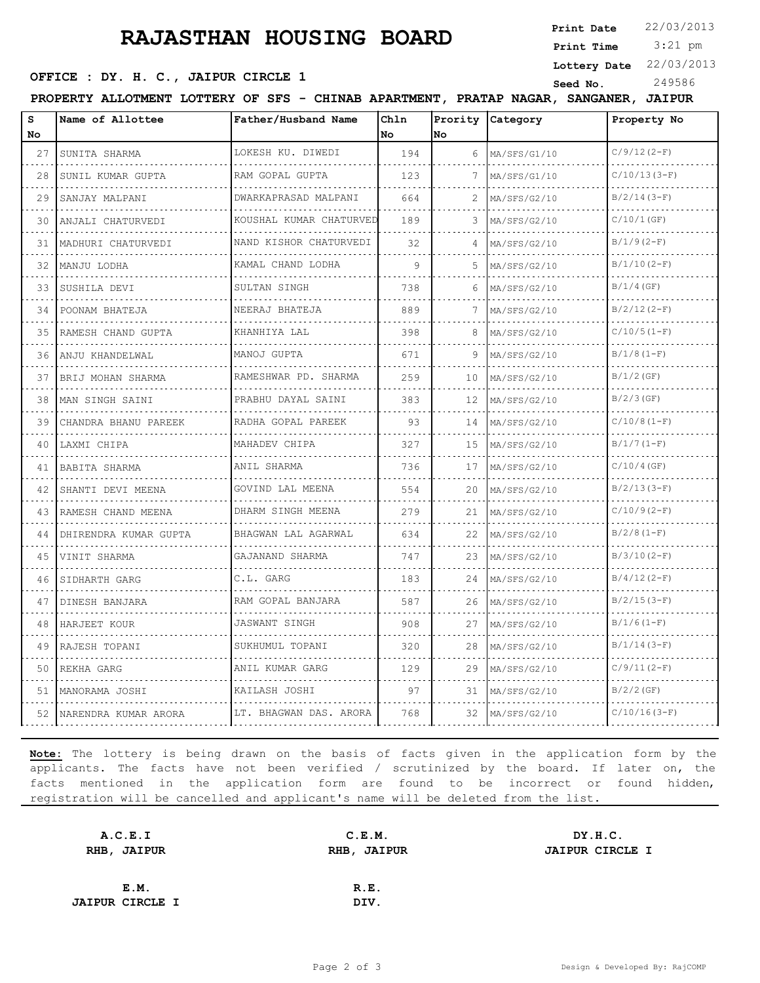## **RAJASTHAN HOUSING BOARD**

**Print Date**  $22/03/2013$ 

 3:21 pm **Print Time**

## **OFFICE : DY. H. C., JAIPUR CIRCLE 1** Seed No. 249586

**Lottery Date** 22/03/2013

**PROPERTY ALLOTMENT LOTTERY OF SFS - CHINAB APARTMENT, PRATAP NAGAR, SANGANER, JAIPUR**

| s<br>No | Name of Allottee       | Father/Husband Name           | Chln<br>No | No  | Prority Category | Property No    |
|---------|------------------------|-------------------------------|------------|-----|------------------|----------------|
| 27      | SUNITA SHARMA          | LOKESH KU. DIWEDI             | 194        | 6   | MA/SFS/G1/10     | $C/9/12(2-F)$  |
| 28      | SUNIL KUMAR GUPTA      | RAM GOPAL GUPTA               | 123        | 7   | MA/SFS/G1/10     | $C/10/13(3-F)$ |
| 29      | SANJAY MALPANI         | DWARKAPRASAD MALPANI          | 664        | 2   | MA/SFS/G2/10     | $B/2/14(3-F)$  |
| 30      | .<br>ANJALI CHATURVEDI | .<br>KOUSHAL KUMAR CHATURVED  | 189        | 3   | MA/SFS/G2/10     | $C/10/1$ (GF)  |
| 31      | MADHURI CHATURVEDI     | .<br>NAND KISHOR CHATURVEDI   | 32         |     | MA/SFS/G2/10     | $B/1/9(2-F)$   |
| 32      | MANJU LODHA            | KAMAL CHAND LODHA<br>.        | 9          | 5   | MA/SFS/G2/10     | $B/1/10(2-F)$  |
| 33      | .<br>SUSHILA DEVI      | SULTAN SINGH                  | 738        | 6   | MA/SFS/G2/10     | $B/1/4$ (GF)   |
| 34      | POONAM BHATEJA         | NEERAJ BHATEJA                | 889        |     | MA/SFS/G2/10     | $B/2/12(2-F)$  |
| 35      | RAMESH CHAND GUPTA     | KHANHIYA LAL                  | 398        | 8   | MA/SFS/G2/10     | $C/10/5(1-F)$  |
| 36      | ANJU KHANDELWAL        | MANOJ GUPTA<br>.              | 671        | 9   | MA/SFS/G2/10     | $B/1/8(1-F)$   |
| 37      | .<br>BRIJ MOHAN SHARMA | RAMESHWAR PD. SHARMA          | 259        | 10  | MA/SFS/G2/10     | $B/1/2$ (GF)   |
| 38      | MAN SINGH SAINI        | PRABHU DAYAL SAINI<br>.       | 383        | 12  | MA/SFS/G2/10     | $B/2/3$ (GF)   |
| 39      | CHANDRA BHANU PAREEK   | RADHA GOPAL PAREEK<br>.       | 93         | 14  | MA/SFS/G2/10     | $C/10/8(1-F)$  |
| 40      | LAXMI CHIPA            | MAHADEV CHIPA                 | 327        | 1.5 | MA/SFS/G2/10     | $B/1/7(1-F)$   |
| 41      | BABITA SHARMA          | ANIL SHARMA                   | 736        | 17  | MA/SFS/G2/10     | $C/10/4$ (GF)  |
| 42      | SHANTI DEVI MEENA<br>. | GOVIND LAL MEENA<br>.         | 554        | 20  | MA/SFS/G2/10     | $B/2/13(3-F)$  |
| 43      | RAMESH CHAND MEENA     | DHARM SINGH MEENA<br>.        | 279        | 21  | MA/SFS/G2/10     | $C/10/9(2-F)$  |
| 44      | DHIRENDRA KUMAR GUPTA  | BHAGWAN LAL AGARWAL           | 634        | 22  | MA/SFS/G2/10     | $B/2/8(1-F)$   |
| 45      | VINIT SHARMA           | GAJANAND SHARMA<br><u>.</u> . | 747        | 23  | MA/SFS/G2/10     | $B/3/10(2-F)$  |
| 46      | SIDHARTH GARG          | C.L. GARG                     | 183        | 24  | MA/SFS/G2/10     | $B/4/12(2-F)$  |
| 47      | DINESH BANJARA         | RAM GOPAL BANJARA             | 587        | 26  | MA/SFS/G2/10     | $B/2/15(3-F)$  |
| 48      | HARJEET KOUR           | <b>JASWANT SINGH</b><br>.     | 908        | 27  | MA/SFS/G2/10     | $B/1/6(1-F)$   |
| 49      | RAJESH TOPANI          | SUKHUMUL TOPANI               | 320        | 28  | MA/SFS/G2/10     | $B/1/14(3-F)$  |
| 50      | REKHA GARG             | ANIL KUMAR GARG               | 129        | 29  | MA/SFS/G2/10     | $C/9/11(2-F)$  |
| 51      | MANORAMA JOSHI         | KAILASH JOSHI                 | 97         | 31  | MA/SFS/G2/10     | $B/2/2$ (GF)   |
| 52      | NARENDRA KUMAR ARORA   | LT. BHAGWAN DAS. ARORA        | 768        | 32  | MA/SFS/G2/10     | $C/10/16(3-F)$ |

**Note:** The lottery is being drawn on the basis of facts given in the application form by the applicants. The facts have not been verified / scrutinized by the board. If later on, the facts mentioned in the application form are found to be incorrect or found hidden, registration will be cancelled and applicant's name will be deleted from the list.

| A.C.E.I                | C.E.M.      | DY.H.C.                |
|------------------------|-------------|------------------------|
| RHB, JAIPUR            | RHB, JAIPUR | <b>JAIPUR CIRCLE I</b> |
|                        |             |                        |
| E.M.                   | R.E.        |                        |
| <b>JAIPUR CIRCLE I</b> | DIV.        |                        |